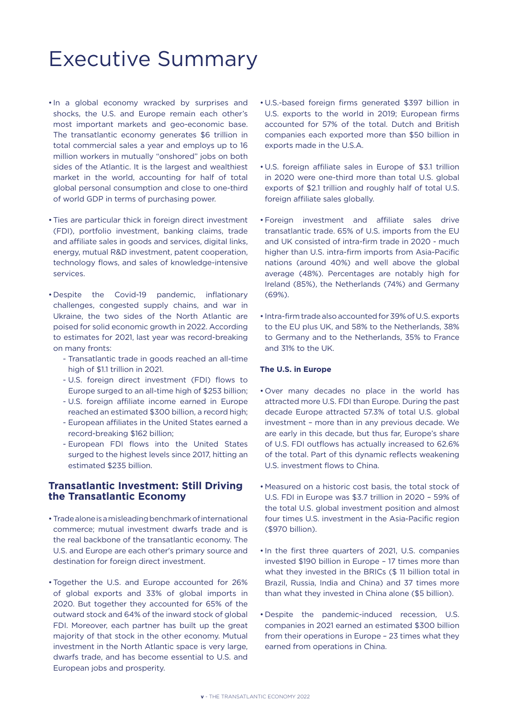# Executive Summary

- In a global economy wracked by surprises and shocks, the U.S. and Europe remain each other's most important markets and geo-economic base. The transatlantic economy generates \$6 trillion in total commercial sales a year and employs up to 16 million workers in mutually "onshored" jobs on both sides of the Atlantic. It is the largest and wealthiest market in the world, accounting for half of total global personal consumption and close to one-third of world GDP in terms of purchasing power.
- Ties are particular thick in foreign direct investment (FDI), portfolio investment, banking claims, trade and affiliate sales in goods and services, digital links, energy, mutual R&D investment, patent cooperation, technology flows, and sales of knowledge-intensive services.
- Despite the Covid-19 pandemic, inflationary challenges, congested supply chains, and war in Ukraine, the two sides of the North Atlantic are poised for solid economic growth in 2022. According to estimates for 2021, last year was record-breaking on many fronts:
	- Transatlantic trade in goods reached an all-time high of \$1.1 trillion in 2021.
	- U.S. foreign direct investment (FDI) flows to Europe surged to an all-time high of \$253 billion;
	- U.S. foreign affiliate income earned in Europe reached an estimated \$300 billion, a record high;
	- European affiliates in the United States earned a record-breaking \$162 billion;
	- European FDI flows into the United States surged to the highest levels since 2017, hitting an estimated \$235 billion.

#### **Transatlantic Investment: Still Driving the Transatlantic Economy**

- Trade alone is a misleading benchmark of international commerce; mutual investment dwarfs trade and is the real backbone of the transatlantic economy. The U.S. and Europe are each other's primary source and destination for foreign direct investment.
- Together the U.S. and Europe accounted for 26% of global exports and 33% of global imports in 2020. But together they accounted for 65% of the outward stock and 64% of the inward stock of global FDI. Moreover, each partner has built up the great majority of that stock in the other economy. Mutual investment in the North Atlantic space is very large, dwarfs trade, and has become essential to U.S. and European jobs and prosperity.
- U.S.-based foreign firms generated \$397 billion in U.S. exports to the world in 2019; European firms accounted for 57% of the total. Dutch and British companies each exported more than \$50 billion in exports made in the U.S.A.
- U.S. foreign affiliate sales in Europe of \$3.1 trillion in 2020 were one-third more than total U.S. global exports of \$2.1 trillion and roughly half of total U.S. foreign affiliate sales globally.
- Foreign investment and affiliate sales drive transatlantic trade. 65% of U.S. imports from the EU and UK consisted of intra-firm trade in 2020 - much higher than U.S. intra-firm imports from Asia-Pacific nations (around 40%) and well above the global average (48%). Percentages are notably high for Ireland (85%), the Netherlands (74%) and Germany (69%).
- Intra-firm trade also accounted for 39% of U.S. exports to the EU plus UK, and 58% to the Netherlands, 38% to Germany and to the Netherlands, 35% to France and 31% to the UK.

#### **The U.S. in Europe**

- Over many decades no place in the world has attracted more U.S. FDI than Europe. During the past decade Europe attracted 57.3% of total U.S. global investment – more than in any previous decade. We are early in this decade, but thus far, Europe's share of U.S. FDI outflows has actually increased to 62.6% of the total. Part of this dynamic reflects weakening U.S. investment flows to China.
- Measured on a historic cost basis, the total stock of U.S. FDI in Europe was \$3.7 trillion in 2020 – 59% of the total U.S. global investment position and almost four times U.S. investment in the Asia-Pacific region (\$970 billion).
- In the first three quarters of 2021, U.S. companies invested \$190 billion in Europe – 17 times more than what they invested in the BRICs (\$ 11 billion total in Brazil, Russia, India and China) and 37 times more than what they invested in China alone (\$5 billion).
- Despite the pandemic-induced recession, U.S. companies in 2021 earned an estimated \$300 billion from their operations in Europe – 23 times what they earned from operations in China.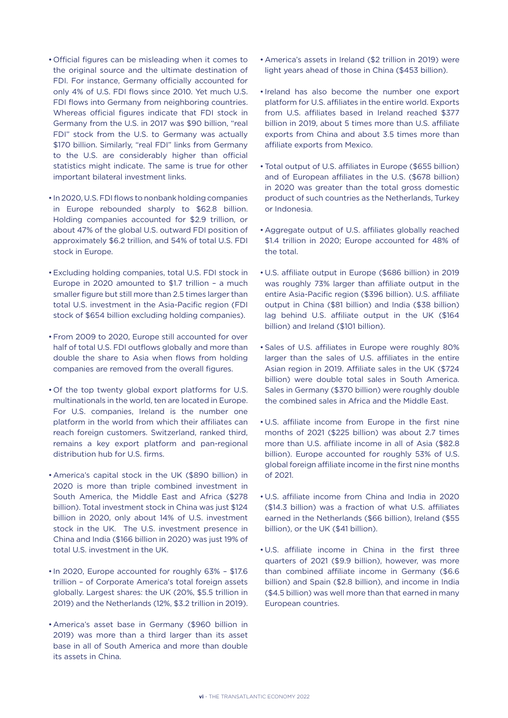- Official figures can be misleading when it comes to the original source and the ultimate destination of FDI. For instance, Germany officially accounted for only 4% of U.S. FDI flows since 2010. Yet much U.S. FDI flows into Germany from neighboring countries. Whereas official figures indicate that FDI stock in Germany from the U.S. in 2017 was \$90 billion, "real FDI" stock from the U.S. to Germany was actually \$170 billion. Similarly, "real FDI" links from Germany to the U.S. are considerably higher than official statistics might indicate. The same is true for other important bilateral investment links.
- In 2020, U.S. FDI flows to nonbank holding companies in Europe rebounded sharply to \$62.8 billion. Holding companies accounted for \$2.9 trillion, or about 47% of the global U.S. outward FDI position of approximately \$6.2 trillion, and 54% of total U.S. FDI stock in Europe.
- Excluding holding companies, total U.S. FDI stock in Europe in 2020 amounted to \$1.7 trillion – a much smaller figure but still more than 2.5 times larger than total U.S. investment in the Asia-Pacific region (FDI stock of \$654 billion excluding holding companies).
- From 2009 to 2020, Europe still accounted for over half of total U.S. FDI outflows globally and more than double the share to Asia when flows from holding companies are removed from the overall figures.
- Of the top twenty global export platforms for U.S. multinationals in the world, ten are located in Europe. For U.S. companies, Ireland is the number one platform in the world from which their affiliates can reach foreign customers. Switzerland, ranked third, remains a key export platform and pan-regional distribution hub for U.S. firms.
- America's capital stock in the UK (\$890 billion) in 2020 is more than triple combined investment in South America, the Middle East and Africa (\$278 billion). Total investment stock in China was just \$124 billion in 2020, only about 14% of U.S. investment stock in the UK. The U.S. investment presence in China and India (\$166 billion in 2020) was just 19% of total U.S. investment in the UK.
- In 2020, Europe accounted for roughly 63% \$17.6 trillion – of Corporate America's total foreign assets globally. Largest shares: the UK (20%, \$5.5 trillion in 2019) and the Netherlands (12%, \$3.2 trillion in 2019).
- America's asset base in Germany (\$960 billion in 2019) was more than a third larger than its asset base in all of South America and more than double its assets in China.
- America's assets in Ireland (\$2 trillion in 2019) were light years ahead of those in China (\$453 billion).
- Ireland has also become the number one export platform for U.S. affiliates in the entire world. Exports from U.S. affiliates based in Ireland reached \$377 billion in 2019, about 5 times more than U.S. affiliate exports from China and about 3.5 times more than affiliate exports from Mexico.
- Total output of U.S. affiliates in Europe (\$655 billion) and of European affiliates in the U.S. (\$678 billion) in 2020 was greater than the total gross domestic product of such countries as the Netherlands, Turkey or Indonesia.
- Aggregate output of U.S. affiliates globally reached \$1.4 trillion in 2020; Europe accounted for 48% of the total.
- U.S. affiliate output in Europe (\$686 billion) in 2019 was roughly 73% larger than affiliate output in the entire Asia-Pacific region (\$396 billion). U.S. affiliate output in China (\$81 billion) and India (\$38 billion) lag behind U.S. affiliate output in the UK (\$164 billion) and Ireland (\$101 billion).
- Sales of U.S. affiliates in Europe were roughly 80% larger than the sales of U.S. affiliates in the entire Asian region in 2019. Affiliate sales in the UK (\$724 billion) were double total sales in South America. Sales in Germany (\$370 billion) were roughly double the combined sales in Africa and the Middle East.
- U.S. affiliate income from Europe in the first nine months of 2021 (\$225 billion) was about 2.7 times more than U.S. affiliate income in all of Asia (\$82.8 billion). Europe accounted for roughly 53% of U.S. global foreign affiliate income in the first nine months of 2021.
- U.S. affiliate income from China and India in 2020 (\$14.3 billion) was a fraction of what U.S. affiliates earned in the Netherlands (\$66 billion), Ireland (\$55 billion), or the UK (\$41 billion).
- U.S. affiliate income in China in the first three quarters of 2021 (\$9.9 billion), however, was more than combined affiliate income in Germany (\$6.6 billion) and Spain (\$2.8 billion), and income in India (\$4.5 billion) was well more than that earned in many European countries.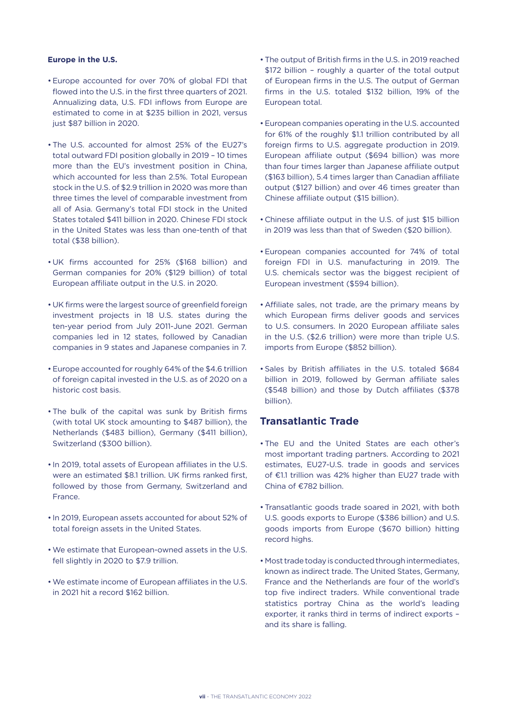#### **Europe in the U.S.**

- Europe accounted for over 70% of global FDI that flowed into the U.S. in the first three quarters of 2021. Annualizing data, U.S. FDI inflows from Europe are estimated to come in at \$235 billion in 2021, versus just \$87 billion in 2020.
- The U.S. accounted for almost 25% of the EU27's total outward FDI position globally in 2019 – 10 times more than the EU's investment position in China, which accounted for less than 2.5%. Total European stock in the U.S. of \$2.9 trillion in 2020 was more than three times the level of comparable investment from all of Asia. Germany's total FDI stock in the United States totaled \$411 billion in 2020. Chinese FDI stock in the United States was less than one-tenth of that total (\$38 billion).
- UK firms accounted for 25% (\$168 billion) and German companies for 20% (\$129 billion) of total European affiliate output in the U.S. in 2020.
- UK firms were the largest source of greenfield foreign investment projects in 18 U.S. states during the ten-year period from July 2011-June 2021. German companies led in 12 states, followed by Canadian companies in 9 states and Japanese companies in 7.
- Europe accounted for roughly 64% of the \$4.6 trillion of foreign capital invested in the U.S. as of 2020 on a historic cost basis.
- The bulk of the capital was sunk by British firms (with total UK stock amounting to \$487 billion), the Netherlands (\$483 billion), Germany (\$411 billion), Switzerland (\$300 billion).
- In 2019, total assets of European affiliates in the U.S. were an estimated \$8.1 trillion. UK firms ranked first, followed by those from Germany, Switzerland and France.
- In 2019, European assets accounted for about 52% of total foreign assets in the United States.
- We estimate that European-owned assets in the U.S. fell slightly in 2020 to \$7.9 trillion.
- We estimate income of European affiliates in the U.S. in 2021 hit a record \$162 billion.
- The output of British firms in the U.S. in 2019 reached \$172 billion – roughly a quarter of the total output of European firms in the U.S. The output of German firms in the U.S. totaled \$132 billion, 19% of the European total.
- European companies operating in the U.S. accounted for 61% of the roughly \$1.1 trillion contributed by all foreign firms to U.S. aggregate production in 2019. European affiliate output (\$694 billion) was more than four times larger than Japanese affiliate output (\$163 billion), 5.4 times larger than Canadian affiliate output (\$127 billion) and over 46 times greater than Chinese affiliate output (\$15 billion).
- Chinese affiliate output in the U.S. of just \$15 billion in 2019 was less than that of Sweden (\$20 billion).
- European companies accounted for 74% of total foreign FDI in U.S. manufacturing in 2019. The U.S. chemicals sector was the biggest recipient of European investment (\$594 billion).
- Affiliate sales, not trade, are the primary means by which European firms deliver goods and services to U.S. consumers. In 2020 European affiliate sales in the U.S. (\$2.6 trillion) were more than triple U.S. imports from Europe (\$852 billion).
- Sales by British affiliates in the U.S. totaled \$684 billion in 2019, followed by German affiliate sales (\$548 billion) and those by Dutch affiliates (\$378 billion).

# **Transatlantic Trade**

- The EU and the United States are each other's most important trading partners. According to 2021 estimates, EU27-U.S. trade in goods and services of  $E1.1$  trillion was 42% higher than EU27 trade with China of  $£782$  billion.
- Transatlantic goods trade soared in 2021, with both U.S. goods exports to Europe (\$386 billion) and U.S. goods imports from Europe (\$670 billion) hitting record highs.
- Most trade today is conducted through intermediates, known as indirect trade. The United States, Germany, France and the Netherlands are four of the world's top five indirect traders. While conventional trade statistics portray China as the world's leading exporter, it ranks third in terms of indirect exports – and its share is falling.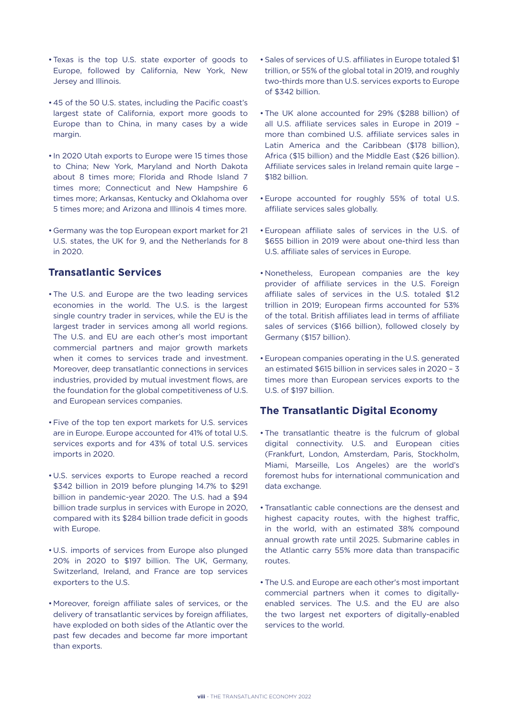- Texas is the top U.S. state exporter of goods to Europe, followed by California, New York, New Jersey and Illinois.
- 45 of the 50 U.S. states, including the Pacific coast's largest state of California, export more goods to Europe than to China, in many cases by a wide margin.
- In 2020 Utah exports to Europe were 15 times those to China; New York, Maryland and North Dakota about 8 times more; Florida and Rhode Island 7 times more; Connecticut and New Hampshire 6 times more; Arkansas, Kentucky and Oklahoma over 5 times more; and Arizona and Illinois 4 times more.
- Germany was the top European export market for 21 U.S. states, the UK for 9, and the Netherlands for 8 in 2020.

# **Transatlantic Services**

- The U.S. and Europe are the two leading services economies in the world. The U.S. is the largest single country trader in services, while the EU is the largest trader in services among all world regions. The U.S. and EU are each other's most important commercial partners and major growth markets when it comes to services trade and investment. Moreover, deep transatlantic connections in services industries, provided by mutual investment flows, are the foundation for the global competitiveness of U.S. and European services companies.
- Five of the top ten export markets for U.S. services are in Europe. Europe accounted for 41% of total U.S. services exports and for 43% of total U.S. services imports in 2020.
- U.S. services exports to Europe reached a record \$342 billion in 2019 before plunging 14.7% to \$291 billion in pandemic-year 2020. The U.S. had a \$94 billion trade surplus in services with Europe in 2020, compared with its \$284 billion trade deficit in goods with Europe.
- U.S. imports of services from Europe also plunged 20% in 2020 to \$197 billion. The UK, Germany, Switzerland, Ireland, and France are top services exporters to the U.S.
- Moreover, foreign affiliate sales of services, or the delivery of transatlantic services by foreign affiliates, have exploded on both sides of the Atlantic over the past few decades and become far more important than exports.
- Sales of services of U.S. affiliates in Europe totaled \$1 trillion, or 55% of the global total in 2019, and roughly two-thirds more than U.S. services exports to Europe of \$342 billion.
- The UK alone accounted for 29% (\$288 billion) of all U.S. affiliate services sales in Europe in 2019 – more than combined U.S. affiliate services sales in Latin America and the Caribbean (\$178 billion), Africa (\$15 billion) and the Middle East (\$26 billion). Affiliate services sales in Ireland remain quite large – \$182 billion.
- Europe accounted for roughly 55% of total U.S. affiliate services sales globally.
- European affiliate sales of services in the U.S. of \$655 billion in 2019 were about one-third less than U.S. affiliate sales of services in Europe.
- Nonetheless, European companies are the key provider of affiliate services in the U.S. Foreign affiliate sales of services in the U.S. totaled \$1.2 trillion in 2019; European firms accounted for 53% of the total. British affiliates lead in terms of affiliate sales of services (\$166 billion), followed closely by Germany (\$157 billion).
- European companies operating in the U.S. generated an estimated \$615 billion in services sales in 2020 – 3 times more than European services exports to the U.S. of \$197 billion.

# **The Transatlantic Digital Economy**

- The transatlantic theatre is the fulcrum of global digital connectivity. U.S. and European cities (Frankfurt, London, Amsterdam, Paris, Stockholm, Miami, Marseille, Los Angeles) are the world's foremost hubs for international communication and data exchange.
- Transatlantic cable connections are the densest and highest capacity routes, with the highest traffic, in the world, with an estimated 38% compound annual growth rate until 2025. Submarine cables in the Atlantic carry 55% more data than transpacific routes.
- The U.S. and Europe are each other's most important commercial partners when it comes to digitallyenabled services. The U.S. and the EU are also the two largest net exporters of digitally-enabled services to the world.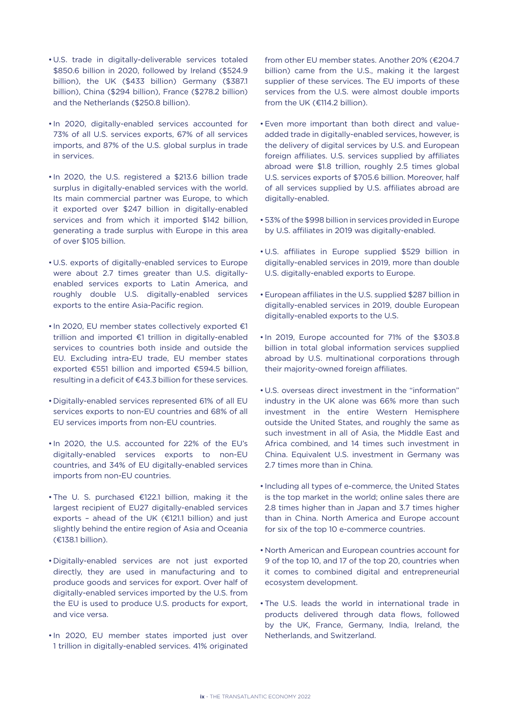- U.S. trade in digitally-deliverable services totaled \$850.6 billion in 2020, followed by Ireland (\$524.9 billion), the UK (\$433 billion) Germany (\$387.1 billion), China (\$294 billion), France (\$278.2 billion) and the Netherlands (\$250.8 billion).
- In 2020, digitally-enabled services accounted for 73% of all U.S. services exports, 67% of all services imports, and 87% of the U.S. global surplus in trade in services.
- In 2020, the U.S. registered a \$213.6 billion trade surplus in digitally-enabled services with the world. Its main commercial partner was Europe, to which it exported over \$247 billion in digitally-enabled services and from which it imported \$142 billion, generating a trade surplus with Europe in this area of over \$105 billion.
- U.S. exports of digitally-enabled services to Europe were about 2.7 times greater than U.S. digitallyenabled services exports to Latin America, and roughly double U.S. digitally-enabled services exports to the entire Asia-Pacific region.
- $\cdot$  In 2020, EU member states collectively exported  $\epsilon$ 1 trillion and imported  $E1$  trillion in digitally-enabled services to countries both inside and outside the EU. Excluding intra-EU trade, EU member states exported  $€551$  billion and imported  $€594.5$  billion, resulting in a deficit of  $\epsilon$ 43.3 billion for these services.
- Digitally-enabled services represented 61% of all EU services exports to non-EU countries and 68% of all EU services imports from non-EU countries.
- In 2020, the U.S. accounted for 22% of the EU's digitally-enabled services exports to non-EU countries, and 34% of EU digitally-enabled services imports from non-EU countries.
- The U. S. purchased €122.1 billion, making it the largest recipient of EU27 digitally-enabled services exports - ahead of the UK ( $\epsilon$ 121.1 billion) and just slightly behind the entire region of Asia and Oceania (¤138.1 billion).
- Digitally-enabled services are not just exported directly, they are used in manufacturing and to produce goods and services for export. Over half of digitally-enabled services imported by the U.S. from the EU is used to produce U.S. products for export, and vice versa.
- In 2020, EU member states imported just over 1 trillion in digitally-enabled services. 41% originated

from other EU member states. Another 20% (€204.7 billion) came from the U.S., making it the largest supplier of these services. The EU imports of these services from the U.S. were almost double imports from the UK  $(E114.2 \text{ billion})$ .

- Even more important than both direct and valueadded trade in digitally-enabled services, however, is the delivery of digital services by U.S. and European foreign affiliates. U.S. services supplied by affiliates abroad were \$1.8 trillion, roughly 2.5 times global U.S. services exports of \$705.6 billion. Moreover, half of all services supplied by U.S. affiliates abroad are digitally-enabled.
- 53% of the \$998 billion in services provided in Europe by U.S. affiliates in 2019 was digitally-enabled.
- U.S. affiliates in Europe supplied \$529 billion in digitally-enabled services in 2019, more than double U.S. digitally-enabled exports to Europe.
- European affiliates in the U.S. supplied \$287 billion in digitally-enabled services in 2019, double European digitally-enabled exports to the U.S.
- In 2019, Europe accounted for 71% of the \$303.8 billion in total global information services supplied abroad by U.S. multinational corporations through their majority-owned foreign affiliates.
- U.S. overseas direct investment in the "information" industry in the UK alone was 66% more than such investment in the entire Western Hemisphere outside the United States, and roughly the same as such investment in all of Asia, the Middle East and Africa combined, and 14 times such investment in China. Equivalent U.S. investment in Germany was 2.7 times more than in China.
- Including all types of e-commerce, the United States is the top market in the world; online sales there are 2.8 times higher than in Japan and 3.7 times higher than in China. North America and Europe account for six of the top 10 e-commerce countries.
- North American and European countries account for 9 of the top 10, and 17 of the top 20, countries when it comes to combined digital and entrepreneurial ecosystem development.
- The U.S. leads the world in international trade in products delivered through data flows, followed by the UK, France, Germany, India, Ireland, the Netherlands, and Switzerland.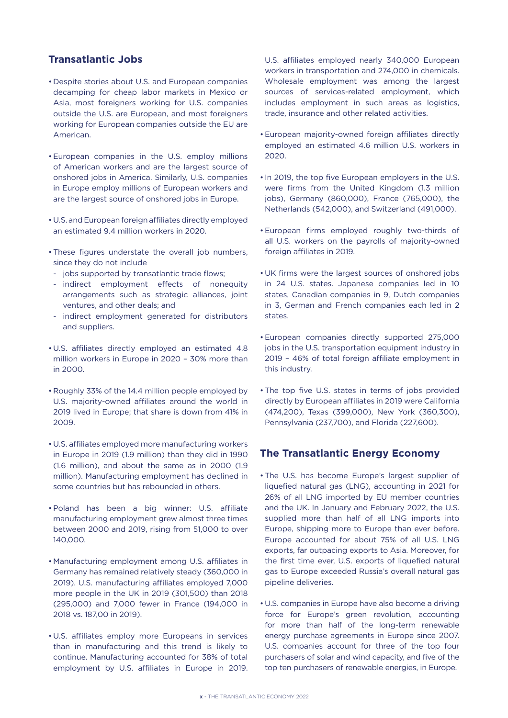## **Transatlantic Jobs**

- Despite stories about U.S. and European companies decamping for cheap labor markets in Mexico or Asia, most foreigners working for U.S. companies outside the U.S. are European, and most foreigners working for European companies outside the EU are American.
- European companies in the U.S. employ millions of American workers and are the largest source of onshored jobs in America. Similarly, U.S. companies in Europe employ millions of European workers and are the largest source of onshored jobs in Europe.
- U.S. and European foreign affiliates directly employed an estimated 9.4 million workers in 2020.
- These figures understate the overall job numbers, since they do not include
- jobs supported by transatlantic trade flows;
- indirect employment effects of nonequity arrangements such as strategic alliances, joint ventures, and other deals; and
- indirect employment generated for distributors and suppliers.
- U.S. affiliates directly employed an estimated 4.8 million workers in Europe in 2020 – 30% more than in 2000.
- Roughly 33% of the 14.4 million people employed by U.S. majority-owned affiliates around the world in 2019 lived in Europe; that share is down from 41% in 2009.
- U.S. affiliates employed more manufacturing workers in Europe in 2019 (1.9 million) than they did in 1990 (1.6 million), and about the same as in 2000 (1.9 million). Manufacturing employment has declined in some countries but has rebounded in others.
- Poland has been a big winner: U.S. affiliate manufacturing employment grew almost three times between 2000 and 2019, rising from 51,000 to over 140,000.
- Manufacturing employment among U.S. affiliates in Germany has remained relatively steady (360,000 in 2019). U.S. manufacturing affiliates employed 7,000 more people in the UK in 2019 (301,500) than 2018 (295,000) and 7,000 fewer in France (194,000 in 2018 vs. 187,00 in 2019).
- U.S. affiliates employ more Europeans in services than in manufacturing and this trend is likely to continue. Manufacturing accounted for 38% of total employment by U.S. affiliates in Europe in 2019.

U.S. affiliates employed nearly 340,000 European workers in transportation and 274,000 in chemicals. Wholesale employment was among the largest sources of services-related employment, which includes employment in such areas as logistics, trade, insurance and other related activities.

- European majority-owned foreign affiliates directly employed an estimated 4.6 million U.S. workers in 2020.
- In 2019, the top five European employers in the U.S. were firms from the United Kingdom (1.3 million jobs), Germany (860,000), France (765,000), the Netherlands (542,000), and Switzerland (491,000).
- European firms employed roughly two-thirds of all U.S. workers on the payrolls of majority-owned foreign affiliates in 2019.
- UK firms were the largest sources of onshored jobs in 24 U.S. states. Japanese companies led in 10 states, Canadian companies in 9, Dutch companies in 3, German and French companies each led in 2 states.
- European companies directly supported 275,000 jobs in the U.S. transportation equipment industry in 2019 – 46% of total foreign affiliate employment in this industry.
- The top five U.S. states in terms of jobs provided directly by European affiliates in 2019 were California (474,200), Texas (399,000), New York (360,300), Pennsylvania (237,700), and Florida (227,600).

## **The Transatlantic Energy Economy**

- The U.S. has become Europe's largest supplier of liquefied natural gas (LNG), accounting in 2021 for 26% of all LNG imported by EU member countries and the UK. In January and February 2022, the U.S. supplied more than half of all LNG imports into Europe, shipping more to Europe than ever before. Europe accounted for about 75% of all U.S. LNG exports, far outpacing exports to Asia. Moreover, for the first time ever, U.S. exports of liquefied natural gas to Europe exceeded Russia's overall natural gas pipeline deliveries.
- U.S. companies in Europe have also become a driving force for Europe's green revolution, accounting for more than half of the long-term renewable energy purchase agreements in Europe since 2007. U.S. companies account for three of the top four purchasers of solar and wind capacity, and five of the top ten purchasers of renewable energies, in Europe.